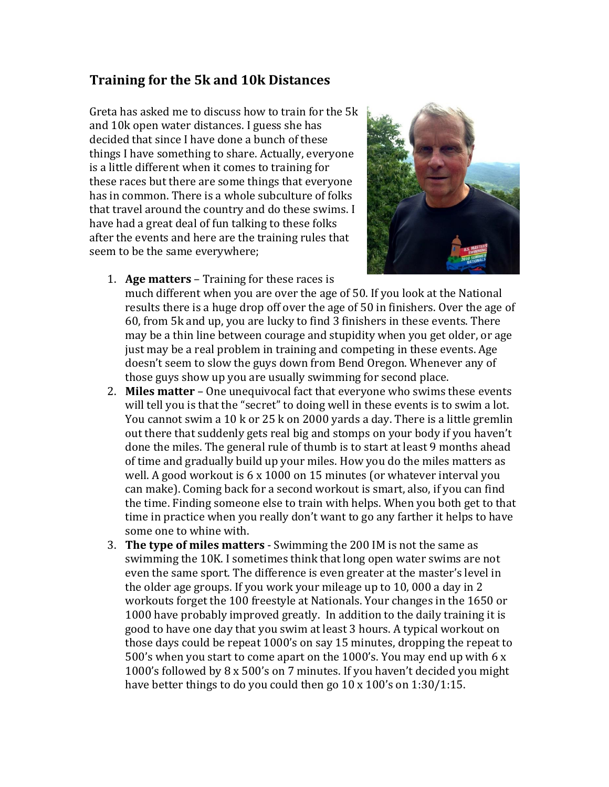## **Training for the 5k and 10k Distances**

Greta has asked me to discuss how to train for the 5k and 10k open water distances. I guess she has decided that since I have done a bunch of these things I have something to share. Actually, everyone is a little different when it comes to training for these races but there are some things that everyone has in common. There is a whole subculture of folks that travel around the country and do these swims. I have had a great deal of fun talking to these folks after the events and here are the training rules that seem to be the same everywhere;



1. **Age matters** – Training for these races is

much different when you are over the age of 50. If you look at the National results there is a huge drop off over the age of 50 in finishers. Over the age of 60, from 5k and up, you are lucky to find 3 finishers in these events. There may be a thin line between courage and stupidity when you get older, or age just may be a real problem in training and competing in these events. Age doesn't seem to slow the guys down from Bend Oregon. Whenever any of those guys show up you are usually swimming for second place.

- 2. **Miles matter** One unequivocal fact that everyone who swims these events will tell you is that the "secret" to doing well in these events is to swim a lot. You cannot swim a 10 k or 25 k on 2000 yards a day. There is a little gremlin out there that suddenly gets real big and stomps on your body if you haven't done the miles. The general rule of thumb is to start at least 9 months ahead of time and gradually build up your miles. How you do the miles matters as well. A good workout is 6 x 1000 on 15 minutes (or whatever interval you can make). Coming back for a second workout is smart, also, if you can find the time. Finding someone else to train with helps. When you both get to that time in practice when you really don't want to go any farther it helps to have some one to whine with.
- 3. **The type of miles matters** Swimming the 200 IM is not the same as swimming the 10K. I sometimes think that long open water swims are not even the same sport. The difference is even greater at the master's level in the older age groups. If you work your mileage up to 10, 000 a day in 2 workouts forget the 100 freestyle at Nationals. Your changes in the 1650 or 1000 have probably improved greatly. In addition to the daily training it is good to have one day that you swim at least 3 hours. A typical workout on those days could be repeat 1000's on say 15 minutes, dropping the repeat to 500's when you start to come apart on the 1000's. You may end up with 6 x 1000's followed by 8 x 500's on 7 minutes. If you haven't decided you might have better things to do you could then go 10 x 100's on 1:30/1:15.